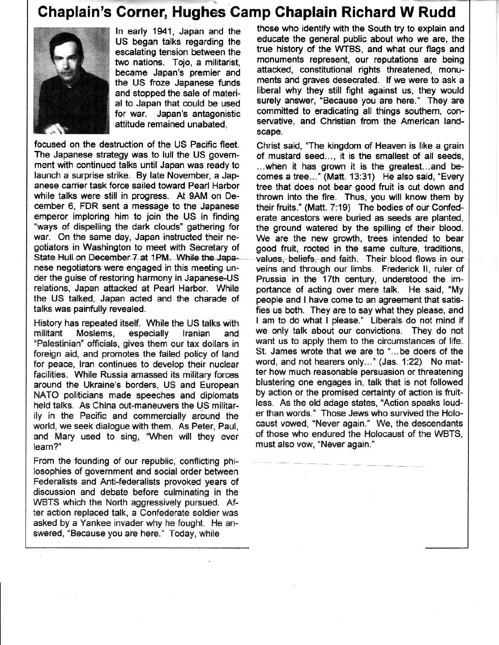## Chaplain's Corner, Hughes Camp Chaplain Richard W Rudd



ln early 1941, Japan and the US began talks regarding the escalating tension between the two nations. Tojo, a militarist, became Japan's premier and the US froze Japanese funds and stopped the sale of material to Japan that could be used for war. Japan's antagonistic attitude remained unabated,

focused on the destruction of the US Pacific fleet. The Japanese strategy was to lull the US government with continued talks until Japan was ready to launch a surprise strike. By late November, a Jap anese canier task force sailed toward Pearl Harbor while talks were still in progress. At gAM on December 6, FDR sent a message to the Japanese emperor imploring him to join the US in finding "ways of dispelling the dark clouds" gathering for war. On the same day, Japan instructed their negotiators in Washington to meet with Secretary of State Hull on December 7 at 1PM. While the Japanese negotiators were engaged in this meeting under the guise of restoring harmony in Japanese-Us relations, Japan attacked at Pearl Harbor. While the US talked, Japan acted and the charade of talks was painfully revealed.

History has repeated itself. While the US talks with militant Moslems, especially Iranian and "Palestinian' officials, gives them our tax dollars in foreign aid, and promotes the failed policy of land for peace, lran continues to develop their nuclear facilities. While Russia amassed its military forces around the Ukralne's borders, US and European NATO politicians made speeches and diplomats held talks. As China out-maneuvers the US militarily in the Pacific and commercially around the world, we seek dialogue with them. As Peter, Paul, and Mary used to sing, "When will they ever leam?'

From the founding of our republic, conflicting philosophies of government and social order between Federalists and Anti-federalists provoked years of discussion and debate before culminating in the WBTS which the North aggressively pursued. After action replaced talk, a Confederate soldier was asked by a Yankee invader why he fought. He answered, 'Because you are here." Today, while

those who identify with the South try to explain and educate the general public about who we are, the true history of the WTBS, and what our flags and monuments represent, our reputations are being attacked, constitutional rights threatened, monuments and graves desecrated. lf we were to ask a liberal why they still fight against us, they would surely answer, "Because you are here." They are committed to eradicating all things southem, conservative, and Christian from the American landscape.

Christ said, "The kingdom of Heaven is like a grain of mustard seed..., it is the smallest of all seeds,  $\dots$  when it has grown it is the greatest... and becomes a tree..." (Matt. 13:31) He also said, "Every tree that does not bear good fruit is cut down and thrown into the fire. Thus, you will know them by their ftuits.' (Matt. 7:19) The bodies of our Confederate ancestors were buried as seeds are planted, the ground watered by the spilling of their blood. We are the new growth, trees intended to bear good fruit, rooted in the same culture, traditiona, values, beliefs, and faith. Their blood flows in our veins and through our limbs. Frederick ll, ruler of Prussia in the 17th century, understood the importance of acting over mere talk. He said, "My people and I have come to an agreement that satisfies us both. They are to say what they please, and I am to do what I please." Liberals do not mind if we only talk about our conyictions. They do not want us to apply them to the circumstances of life. St. James wrote that we are to '...be doers of the word, and not hearers only..." (Jas. 1:22) No matter how much reasonable persuasion or threatening blustering one engages in, talk that is not followed by action or the promised certainty of action is fruitless. As the old adage states, "Action speaks louder than words.' Those Jews who survived the Holocaust vowed, "Never again." We, the descendants of those who endured the Holocaust of the WBTS, must also vow, "Never again."